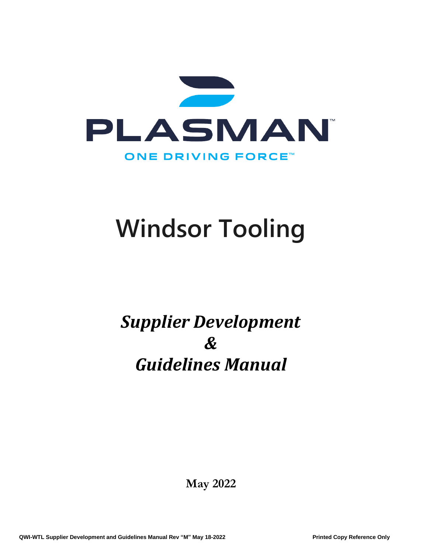

# *Supplier Development & Guidelines Manual*

**May 2022**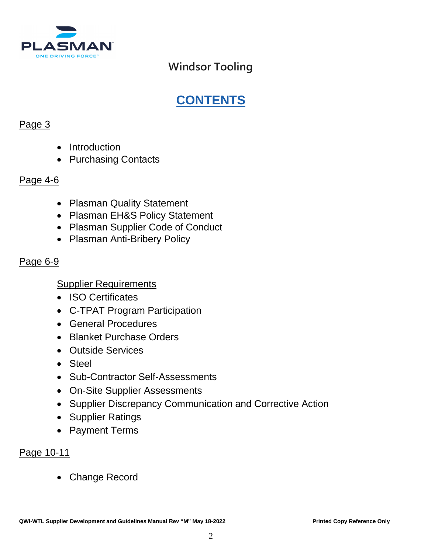

# **CONTENTS**

### Page 3

- Introduction
- Purchasing Contacts

### Page 4-6

- Plasman Quality Statement
- Plasman EH&S Policy Statement
- Plasman Supplier Code of Conduct
- Plasman Anti-Bribery Policy

### Page 6-9

### Supplier Requirements

- ISO Certificates
- C-TPAT Program Participation
- General Procedures
- Blanket Purchase Orders
- Outside Services
- Steel
- Sub-Contractor Self-Assessments
- On-Site Supplier Assessments
- Supplier Discrepancy Communication and Corrective Action
- Supplier Ratings
- Payment Terms

### Page 10-11

• Change Record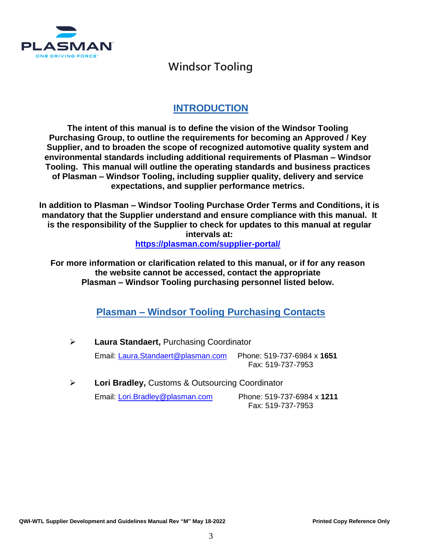

### **INTRODUCTION**

**The intent of this manual is to define the vision of the Windsor Tooling Purchasing Group, to outline the requirements for becoming an Approved / Key Supplier, and to broaden the scope of recognized automotive quality system and environmental standards including additional requirements of Plasman – Windsor Tooling. This manual will outline the operating standards and business practices of Plasman – Windsor Tooling, including supplier quality, delivery and service expectations, and supplier performance metrics.**

**In addition to Plasman – Windsor Tooling Purchase Order Terms and Conditions, it is mandatory that the Supplier understand and ensure compliance with this manual. It is the responsibility of the Supplier to check for updates to this manual at regular intervals at: <https://plasman.com/supplier-portal/>**

**For more information or clarification related to this manual, or if for any reason the website cannot be accessed, contact the appropriate Plasman – Windsor Tooling purchasing personnel listed below.**

**Plasman – Windsor Tooling Purchasing Contacts**

➢ **Laura Standaert,** Purchasing Coordinator Email: [Laura.Standaert@plasman.com](mailto:Laura.Standaert@plasman.com) Phone: 519-737-6984 x **1651** Fax: 519-737-7953

➢ **Lori Bradley,** Customs & Outsourcing Coordinator Email: [Lori.Bradley@plasman.com](mailto:Lori.Bradley@plasman.com) Phone: 519-737-6984 x **1211** Fax: 519-737-7953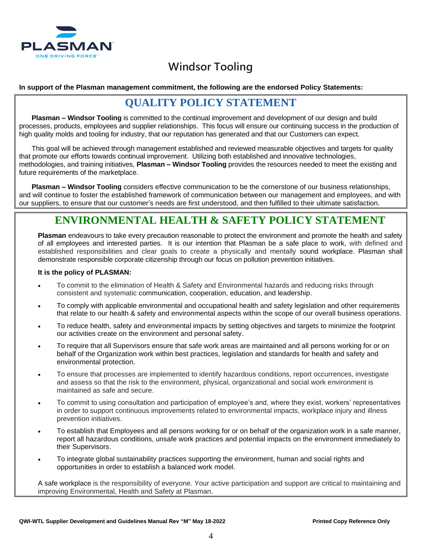

#### **In support of the Plasman management commitment, the following are the endorsed Policy Statements:**

### **QUALITY POLICY STATEMENT**

**Plasman – Windsor Tooling** is committed to the continual improvement and development of our design and build processes, products, employees and supplier relationships. This focus will ensure our continuing success in the production of high quality molds and tooling for industry, that our reputation has generated and that our Customers can expect.

This goal will be achieved through management established and reviewed measurable objectives and targets for quality that promote our efforts towards continual improvement. Utilizing both established and innovative technologies, methodologies, and training initiatives, **Plasman – Windsor Tooling** provides the resources needed to meet the existing and future requirements of the marketplace.

**Plasman – Windsor Tooling** considers effective communication to be the cornerstone of our business relationships, and will continue to foster the established framework of communication between our management and employees, and with our suppliers, to ensure that our customer's needs are first understood, and then fulfilled to their ultimate satisfaction.

### **ENVIRONMENTAL HEALTH & SAFETY POLICY STATEMENT**

**Plasman** endeavours to take every precaution reasonable to protect the environment and promote the health and safety of all employees and interested parties. It is our intention that Plasman be a safe place to work, with defined and established responsibilities and clear goals to create a physically and mentally sound workplace. Plasman shall demonstrate responsible corporate citizenship through our focus on pollution prevention initiatives.

#### **It is the policy of PLASMAN:**

- To commit to the elimination of Health & Safety and Environmental hazards and reducing risks through consistent and systematic communication, cooperation, education, and leadership.
- To comply with applicable environmental and occupational health and safety legislation and other requirements that relate to our health & safety and environmental aspects within the scope of our overall business operations.
- To reduce health, safety and environmental impacts by setting objectives and targets to minimize the footprint our activities create on the environment and personal safety.
- To require that all Supervisors ensure that safe work areas are maintained and all persons working for or on behalf of the Organization work within best practices, legislation and standards for health and safety and environmental protection.
- To ensure that processes are implemented to identify hazardous conditions, report occurrences, investigate and assess so that the risk to the environment, physical, organizational and social work environment is maintained as safe and secure.
- To commit to using consultation and participation of employee's and, where they exist, workers' representatives in order to support continuous improvements related to environmental impacts, workplace injury and illness prevention initiatives.
- To establish that Employees and all persons working for or on behalf of the organization work in a safe manner, report all hazardous conditions, unsafe work practices and potential impacts on the environment immediately to their Supervisors.
- To integrate global sustainability practices supporting the environment, human and social rights and opportunities in order to establish a balanced work model.

A safe workplace is the responsibility of everyone. Your active participation and support are critical to maintaining and improving Environmental, Health and Safety at Plasman.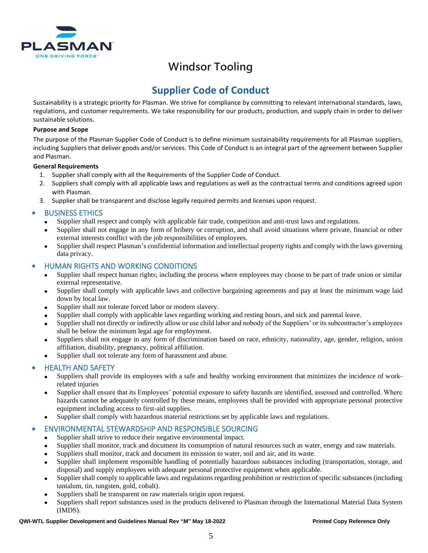

### **Supplier Code of Conduct**

Sustainability is a strategic priority for Plasman. We strive for compliance by committing to relevant international standards, laws, regulations, and customer requirements. We take responsibility for our products, production, and supply chain in order to deliver sustainable solutions.

#### **Purpose and Scope**

The purpose of the Plasman Supplier Code of Conduct is to define minimum sustainability requirements for all Plasman suppliers, including Suppliers that deliver goods and/or services. This Code of Conduct is an integral part of the agreement between Supplier and Plasman.

#### **General Requirements**

- 1. Supplier shall comply with all the Requirements of the Supplier Code of Conduct.
- 2. Suppliers shall comply with all applicable laws and regulations as well as the contractual terms and conditions agreed upon with Plasman.
- 3. Supplier shall be transparent and disclose legally required permits and licenses upon request.

#### • BUSINESS ETHICS

- Supplier shall respect and comply with applicable fair trade, competition and anti-trust laws and regulations.
- Supplier shall not engage in any form of bribery or corruption, and shall avoid situations where private, financial or other external interests conflict with the job responsibilities of employees.
- Supplier shall respect Plasman's confidential information and intellectual property rights and comply with the laws governing data privacy.

#### • HUMAN RIGHTS AND WORKING CONDITIONS

- Supplier shall respect human rights; including the process where employees may choose to be part of trade union or similar external representative.
- Supplier shall comply with applicable laws and collective bargaining agreements and pay at least the minimum wage laid down by local law.
- Supplier shall not tolerate forced labor or modern slavery.
- Supplier shall comply with applicable laws regarding working and resting hours, and sick and parental leave.
- Supplier shall not directly or indirectly allow or use child labor and nobody of the Suppliers' or its subcontractor's employees shall be below the minimum legal age for employment.
- Suppliers shall not engage in any form of discrimination based on race, ethnicity, nationality, age, gender, religion, union affiliation, disability, pregnancy, political affiliation.
- Supplier shall not tolerate any form of harassment and abuse.

#### • HEALTH AND SAFETY

- Suppliers shall provide its employees with a safe and healthy working environment that minimizes the incidence of workrelated injuries
- Supplier shall ensure that its Employees' potential exposure to safety hazards are identified, assessed and controlled. Where hazards cannot be adequately controlled by these means, employees shall be provided with appropriate personal protective equipment including access to first-aid supplies.
- Supplier shall comply with hazardous material restrictions set by applicable laws and regulations.

#### • ENVIRONMENTAL STEWARDSHIP AND RESPONSIBLE SOURCING

- Supplier shall strive to reduce their negative environmental impact.
- Supplier shall monitor, track and document its consumption of natural resources such as water, energy and raw materials.
- Suppliers shall monitor, track and document its emission to water, soil and air, and its waste.
- Supplier shall implement responsible handling of potentially hazardous substances including (transportation, storage, and disposal) and supply employees with adequate personal protective equipment when applicable.
- Supplier shall comply to applicable laws and regulations regarding prohibition or restriction of specific substances (including tantalum, tin, tungsten, gold, cobalt).
- Suppliers shall be transparent on raw materials origin upon request.
- Suppliers shall report substances used in the products delivered to Plasman through the International Material Data System (IMDS).

#### **QWI-WTL Supplier Development and Guidelines Manual Rev "M" May 18-2022 Printed Copy Reference Only**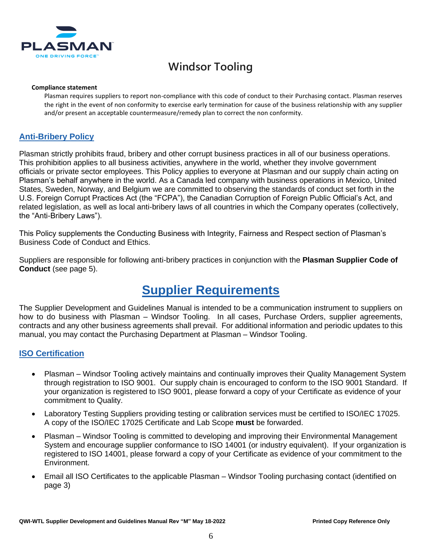

#### **Compliance statement**

Plasman requires suppliers to report non-compliance with this code of conduct to their Purchasing contact. Plasman reserves the right in the event of non conformity to exercise early termination for cause of the business relationship with any supplier and/or present an acceptable countermeasure/remedy plan to correct the non conformity.

#### **Anti-Bribery Policy**

Plasman strictly prohibits fraud, bribery and other corrupt business practices in all of our business operations. This prohibition applies to all business activities, anywhere in the world, whether they involve government officials or private sector employees. This Policy applies to everyone at Plasman and our supply chain acting on Plasman's behalf anywhere in the world. As a Canada led company with business operations in Mexico, United States, Sweden, Norway, and Belgium we are committed to observing the standards of conduct set forth in the U.S. Foreign Corrupt Practices Act (the "FCPA"), the Canadian Corruption of Foreign Public Official's Act, and related legislation, as well as local anti-bribery laws of all countries in which the Company operates (collectively, the "Anti-Bribery Laws").

This Policy supplements the Conducting Business with Integrity, Fairness and Respect section of Plasman's Business Code of Conduct and Ethics.

Suppliers are responsible for following anti-bribery practices in conjunction with the **Plasman Supplier Code of Conduct** (see page 5).

# **Supplier Requirements**

The Supplier Development and Guidelines Manual is intended to be a communication instrument to suppliers on how to do business with Plasman – Windsor Tooling. In all cases, Purchase Orders, supplier agreements, contracts and any other business agreements shall prevail. For additional information and periodic updates to this manual, you may contact the Purchasing Department at Plasman – Windsor Tooling.

#### **ISO Certification**

- Plasman Windsor Tooling actively maintains and continually improves their Quality Management System through registration to ISO 9001. Our supply chain is encouraged to conform to the ISO 9001 Standard. If your organization is registered to ISO 9001, please forward a copy of your Certificate as evidence of your commitment to Quality.
- Laboratory Testing Suppliers providing testing or calibration services must be certified to ISO/IEC 17025. A copy of the ISO/IEC 17025 Certificate and Lab Scope **must** be forwarded.
- Plasman Windsor Tooling is committed to developing and improving their Environmental Management System and encourage supplier conformance to ISO 14001 (or industry equivalent). If your organization is registered to ISO 14001, please forward a copy of your Certificate as evidence of your commitment to the Environment.
- Email all ISO Certificates to the applicable Plasman Windsor Tooling purchasing contact (identified on page 3)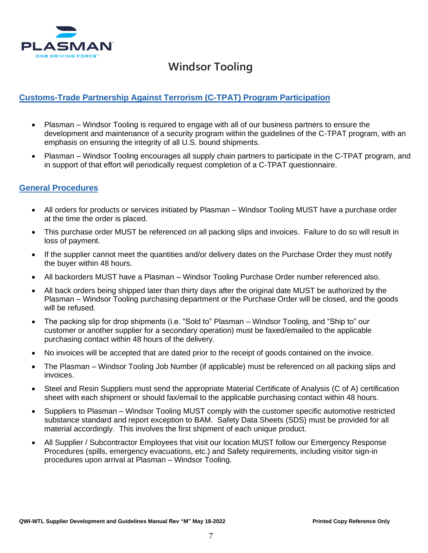

### **Customs-Trade Partnership Against Terrorism (C-TPAT) Program Participation**

- Plasman Windsor Tooling is required to engage with all of our business partners to ensure the development and maintenance of a security program within the guidelines of the C-TPAT program, with an emphasis on ensuring the integrity of all U.S. bound shipments.
- Plasman Windsor Tooling encourages all supply chain partners to participate in the C-TPAT program, and in support of that effort will periodically request completion of a C-TPAT questionnaire.

#### **General Procedures**

- All orders for products or services initiated by Plasman Windsor Tooling MUST have a purchase order at the time the order is placed.
- This purchase order MUST be referenced on all packing slips and invoices. Failure to do so will result in loss of payment.
- If the supplier cannot meet the quantities and/or delivery dates on the Purchase Order they must notify the buyer within 48 hours.
- All backorders MUST have a Plasman Windsor Tooling Purchase Order number referenced also.
- All back orders being shipped later than thirty days after the original date MUST be authorized by the Plasman – Windsor Tooling purchasing department or the Purchase Order will be closed, and the goods will be refused.
- The packing slip for drop shipments (i.e. "Sold to" Plasman Windsor Tooling, and "Ship to" our customer or another supplier for a secondary operation) must be faxed/emailed to the applicable purchasing contact within 48 hours of the delivery.
- No invoices will be accepted that are dated prior to the receipt of goods contained on the invoice.
- The Plasman Windsor Tooling Job Number (if applicable) must be referenced on all packing slips and invoices.
- Steel and Resin Suppliers must send the appropriate Material Certificate of Analysis (C of A) certification sheet with each shipment or should fax/email to the applicable purchasing contact within 48 hours.
- Suppliers to Plasman Windsor Tooling MUST comply with the customer specific automotive restricted substance standard and report exception to BAM. Safety Data Sheets (SDS) must be provided for all material accordingly. This involves the first shipment of each unique product.
- All Supplier / Subcontractor Employees that visit our location MUST follow our Emergency Response Procedures (spills, emergency evacuations, etc.) and Safety requirements, including visitor sign-in procedures upon arrival at Plasman – Windsor Tooling.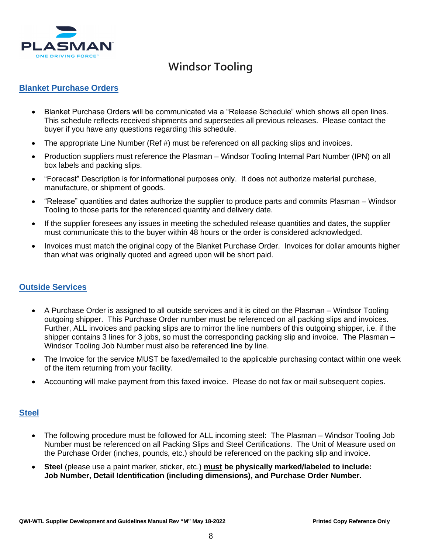

#### **Blanket Purchase Orders**

- Blanket Purchase Orders will be communicated via a "Release Schedule" which shows all open lines. This schedule reflects received shipments and supersedes all previous releases. Please contact the buyer if you have any questions regarding this schedule.
- The appropriate Line Number (Ref #) must be referenced on all packing slips and invoices.
- Production suppliers must reference the Plasman Windsor Tooling Internal Part Number (IPN) on all box labels and packing slips.
- "Forecast" Description is for informational purposes only. It does not authorize material purchase, manufacture, or shipment of goods.
- "Release" quantities and dates authorize the supplier to produce parts and commits Plasman Windsor Tooling to those parts for the referenced quantity and delivery date.
- If the supplier foresees any issues in meeting the scheduled release quantities and dates, the supplier must communicate this to the buyer within 48 hours or the order is considered acknowledged.
- Invoices must match the original copy of the Blanket Purchase Order. Invoices for dollar amounts higher than what was originally quoted and agreed upon will be short paid.

#### **Outside Services**

- A Purchase Order is assigned to all outside services and it is cited on the Plasman Windsor Tooling outgoing shipper. This Purchase Order number must be referenced on all packing slips and invoices. Further, ALL invoices and packing slips are to mirror the line numbers of this outgoing shipper, i.e. if the shipper contains 3 lines for 3 jobs, so must the corresponding packing slip and invoice. The Plasman – Windsor Tooling Job Number must also be referenced line by line.
- The Invoice for the service MUST be faxed/emailed to the applicable purchasing contact within one week of the item returning from your facility.
- Accounting will make payment from this faxed invoice. Please do not fax or mail subsequent copies.

#### **Steel**

- The following procedure must be followed for ALL incoming steel: The Plasman Windsor Tooling Job Number must be referenced on all Packing Slips and Steel Certifications. The Unit of Measure used on the Purchase Order (inches, pounds, etc.) should be referenced on the packing slip and invoice.
- **Steel** (please use a paint marker, sticker, etc.) **must be physically marked/labeled to include: Job Number, Detail Identification (including dimensions), and Purchase Order Number.**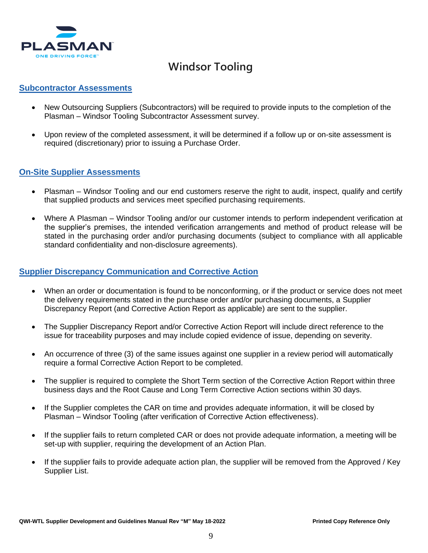

#### **Subcontractor Assessments**

- New Outsourcing Suppliers (Subcontractors) will be required to provide inputs to the completion of the Plasman – Windsor Tooling Subcontractor Assessment survey.
- Upon review of the completed assessment, it will be determined if a follow up or on-site assessment is required (discretionary) prior to issuing a Purchase Order.

#### **On-Site Supplier Assessments**

- Plasman Windsor Tooling and our end customers reserve the right to audit, inspect, qualify and certify that supplied products and services meet specified purchasing requirements.
- Where A Plasman Windsor Tooling and/or our customer intends to perform independent verification at the supplier's premises, the intended verification arrangements and method of product release will be stated in the purchasing order and/or purchasing documents (subject to compliance with all applicable standard confidentiality and non-disclosure agreements).

#### **Supplier Discrepancy Communication and Corrective Action**

- When an order or documentation is found to be nonconforming, or if the product or service does not meet the delivery requirements stated in the purchase order and/or purchasing documents, a Supplier Discrepancy Report (and Corrective Action Report as applicable) are sent to the supplier.
- The Supplier Discrepancy Report and/or Corrective Action Report will include direct reference to the issue for traceability purposes and may include copied evidence of issue, depending on severity.
- An occurrence of three (3) of the same issues against one supplier in a review period will automatically require a formal Corrective Action Report to be completed.
- The supplier is required to complete the Short Term section of the Corrective Action Report within three business days and the Root Cause and Long Term Corrective Action sections within 30 days.
- If the Supplier completes the CAR on time and provides adequate information, it will be closed by Plasman – Windsor Tooling (after verification of Corrective Action effectiveness).
- If the supplier fails to return completed CAR or does not provide adequate information, a meeting will be set-up with supplier, requiring the development of an Action Plan.
- If the supplier fails to provide adequate action plan, the supplier will be removed from the Approved / Key Supplier List.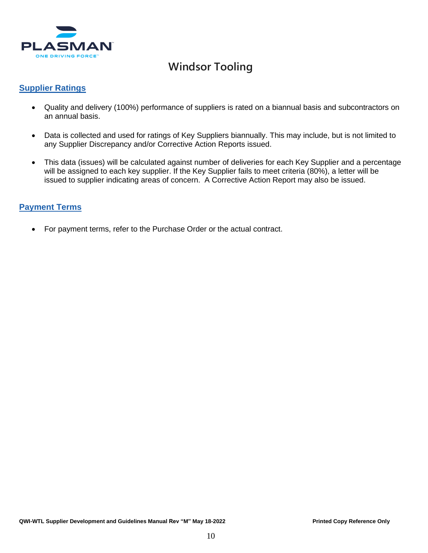

#### **Supplier Ratings**

- Quality and delivery (100%) performance of suppliers is rated on a biannual basis and subcontractors on an annual basis.
- Data is collected and used for ratings of Key Suppliers biannually. This may include, but is not limited to any Supplier Discrepancy and/or Corrective Action Reports issued.
- This data (issues) will be calculated against number of deliveries for each Key Supplier and a percentage will be assigned to each key supplier. If the Key Supplier fails to meet criteria (80%), a letter will be issued to supplier indicating areas of concern. A Corrective Action Report may also be issued.

### **Payment Terms**

• For payment terms, refer to the Purchase Order or the actual contract.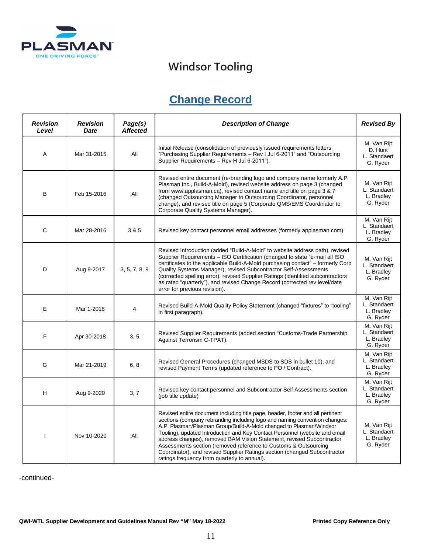

## **Change Record**

| <b>Revision</b><br>Level | <b>Revision</b><br><b>Date</b> | Page(s)<br><b>Affected</b> | <b>Description of Change</b>                                                                                                                                                                                                                                                                                                                                                                                                                                                                                                                                                               | <b>Revised By</b>                                     |
|--------------------------|--------------------------------|----------------------------|--------------------------------------------------------------------------------------------------------------------------------------------------------------------------------------------------------------------------------------------------------------------------------------------------------------------------------------------------------------------------------------------------------------------------------------------------------------------------------------------------------------------------------------------------------------------------------------------|-------------------------------------------------------|
| Α                        | Mar 31-2015                    | All                        | Initial Release (consolidation of previously issued requirements letters<br>"Purchasing Supplier Requirements - Rev I Jul 6-2011" and "Outsourcing<br>Supplier Requirements - Rev H Jul 6-2011").                                                                                                                                                                                                                                                                                                                                                                                          | M. Van Rijt<br>D. Hunt<br>L. Standaert<br>G. Ryder    |
| B                        | Feb 15-2016                    | All                        | Revised entire document (re-branding logo and company name formerly A.P.<br>Plasman Inc., Build-A-Mold), revised website address on page 3 (changed<br>from www.applasman.ca), revised contact name and title on page 3 & 7<br>(changed Outsourcing Manager to Outsourcing Coordinator, personnel<br>change), and revised title on page 5 (Corporate QMS/EMS Coordinator to<br>Corporate Quality Systems Manager).                                                                                                                                                                         | M. Van Rijt<br>L. Standaert<br>L. Bradley<br>G. Ryder |
| C                        | Mar 28-2016                    | 3 & 5                      | Revised key contact personnel email addresses (formerly applasman.com).                                                                                                                                                                                                                                                                                                                                                                                                                                                                                                                    | M. Van Rijt<br>L. Standaert<br>L. Bradley<br>G. Ryder |
| D                        | Aug 9-2017                     | 3, 5, 7, 8, 9              | Revised Introduction (added "Build-A-Mold" to website address path), revised<br>Supplier Requirements - ISO Certification (changed to state "e-mail all ISO<br>certificates to the applicable Build-A-Mold purchasing contact" - formerly Corp<br>Quality Systems Manager), revised Subcontractor Self-Assessments<br>(corrected spelling error), revised Supplier Ratings (identified subcontractors<br>as rated "quarterly"), and revised Change Record (corrected rev level/date<br>error for previous revision).                                                                       | M. Van Rijt<br>L. Standaert<br>L. Bradley<br>G. Ryder |
| E                        | Mar 1-2018                     | 4                          | Revised Build-A-Mold Quality Policy Statement (changed "fixtures" to "tooling"<br>in first paragraph).                                                                                                                                                                                                                                                                                                                                                                                                                                                                                     | M. Van Rijt<br>L. Standaert<br>L. Bradley<br>G. Ryder |
| F                        | Apr 30-2018                    | 3, 5                       | Revised Supplier Requirements (added section "Customs-Trade Partnership<br>Against Terrorism C-TPAT).                                                                                                                                                                                                                                                                                                                                                                                                                                                                                      | M. Van Rijt<br>L. Standaert<br>L. Bradley<br>G. Ryder |
| G                        | Mar 21-2019                    | 6, 8                       | Revised General Procedures (changed MSDS to SDS in bullet 10), and<br>revised Payment Terms (updated reference to PO / Contract).                                                                                                                                                                                                                                                                                                                                                                                                                                                          | M. Van Rijt<br>L. Standaert<br>L. Bradley<br>G. Ryder |
| H                        | Aug 9-2020                     | 3, 7                       | Revised key contact personnel and Subcontractor Self Assessments section<br>(job title update)                                                                                                                                                                                                                                                                                                                                                                                                                                                                                             | M. Van Rijt<br>L. Standaert<br>L. Bradley<br>G. Ryder |
| 1                        | Nov 10-2020                    | All                        | Revised entire document including title page, header, footer and all pertinent<br>sections (company rebranding including logo and naming convention changes:<br>A.P. Plasman/Plasman Group/Build-A-Mold changed to Plasman/Windsor<br>Tooling), updated Introduction and Key Contact Personnel (website and email<br>address changes), removed BAM Vision Statement, revised Subcontractor<br>Assessments section (removed reference to Customs & Outsourcing<br>Coordinator), and revised Supplier Ratings section (changed Subcontractor<br>ratings frequency from quarterly to annual). | M. Van Rijt<br>L. Standaert<br>L. Bradley<br>G. Ryder |

-continued-